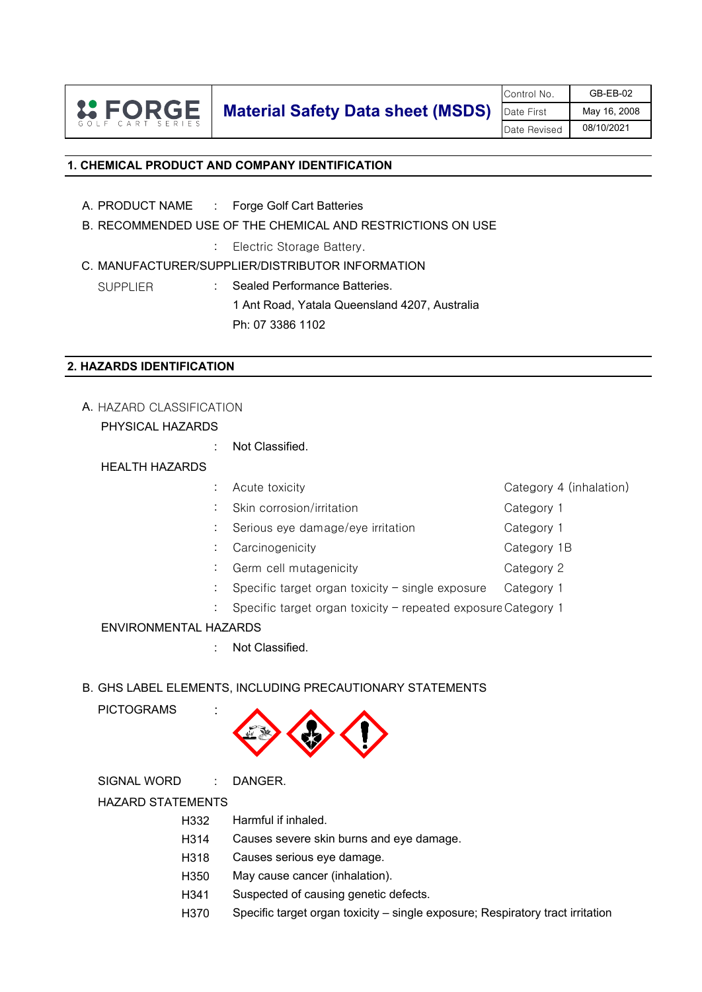

Control No. **GB-EB-02** Date First | May 16, 2008 Date Revised 08/10/2021

## **1. CHEMICAL PRODUCT AND COMPANY IDENTIFICATION**

- A. PRODUCT NAME : Forge Golf Cart Batteries
- B. RECOMMENDED USE OF THE CHEMICAL AND RESTRICTIONS ON USE
	- : Electric Storage Battery.
- C. MANUFACTURER/SUPPLIER/DISTRIBUTOR INFORMATION
	- SUPPLIER : Sealed Performance Batteries.

1 Ant Road, Yatala Queensland 4207, Australia Ph: 07 3386 1102

#### **2. HAZARDS IDENTIFICATION**

# A. HAZARD CLASSIFICATION

# PHYSICAL HAZARDS

: Not Classified.

#### HEALTH HAZARDS

|  | Acute toxicity                                                | Category 4 (inhalation) |
|--|---------------------------------------------------------------|-------------------------|
|  | Skin corrosion/irritation                                     | Category 1              |
|  | Serious eye damage/eye irritation                             | Category 1              |
|  | Carcinogenicity                                               | Category 1B             |
|  | Germ cell mutagenicity                                        | Category 2              |
|  | Specific target organ toxicity $-$ single exposure            | Category 1              |
|  | Specific target organ toxicity - repeated exposure Category 1 |                         |

#### ENVIRONMENTAL HAZARDS

: Not Classified.

# B. GHS LABEL ELEMENTS, INCLUDING PRECAUTIONARY STATEMENTS

# **PICTOGRAMS**



SIGNAL WORD : DANGER.

#### HAZARD STATEMENTS

- H332 Harmful if inhaled.
- H314 Causes severe skin burns and eye damage.
- H318 Causes serious eye damage.
- H350 May cause cancer (inhalation).
- H341 Suspected of causing genetic defects.
- H370 Specific target organ toxicity – single exposure; Respiratory tract irritation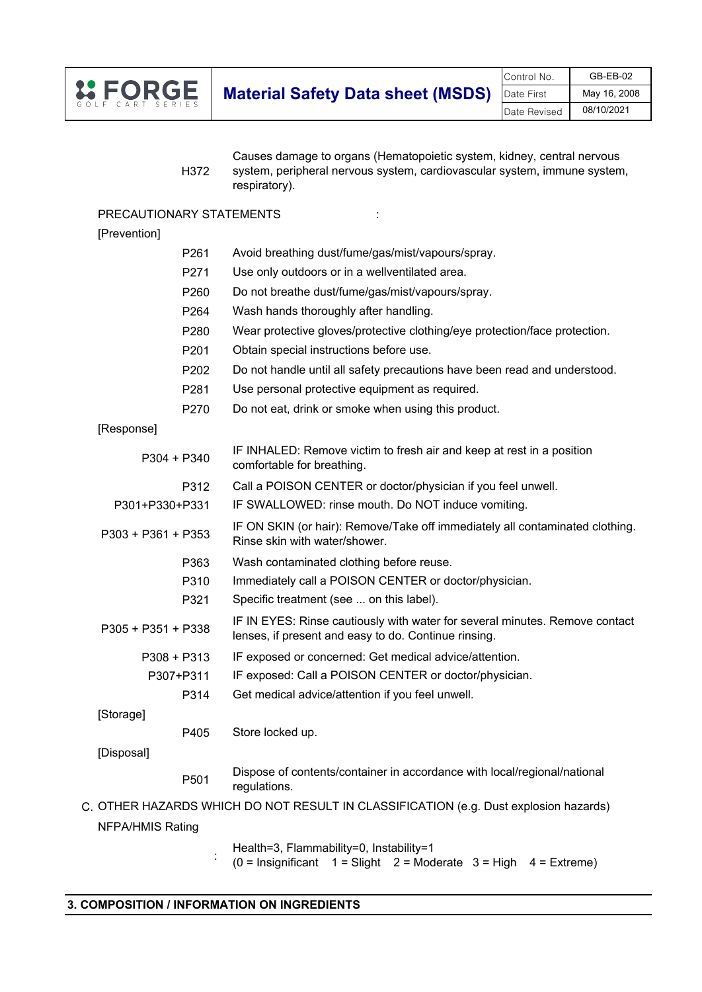

H372 Causes damage to organs (Hematopoietic system, kidney, central nervous system, peripheral nervous system, cardiovascular system, immune system, respiratory).

#### PRECAUTIONARY STATEMENTS : :

#### [Prevention]

| P261                    | Avoid breathing dust/fume/gas/mist/vapours/spray.                                                                                   |
|-------------------------|-------------------------------------------------------------------------------------------------------------------------------------|
| P271                    | Use only outdoors or in a wellventilated area.                                                                                      |
| P260                    | Do not breathe dust/fume/gas/mist/vapours/spray.                                                                                    |
| P <sub>264</sub>        | Wash hands thoroughly after handling.                                                                                               |
| P280                    | Wear protective gloves/protective clothing/eye protection/face protection.                                                          |
| P <sub>201</sub>        | Obtain special instructions before use.                                                                                             |
| P202                    | Do not handle until all safety precautions have been read and understood.                                                           |
| P281                    | Use personal protective equipment as required.                                                                                      |
| P270                    | Do not eat, drink or smoke when using this product.                                                                                 |
| [Response]              |                                                                                                                                     |
| $P304 + P340$           | IF INHALED: Remove victim to fresh air and keep at rest in a position<br>comfortable for breathing.                                 |
| P312                    | Call a POISON CENTER or doctor/physician if you feel unwell.                                                                        |
| P301+P330+P331          | IF SWALLOWED: rinse mouth. Do NOT induce vomiting.                                                                                  |
| P303 + P361 + P353      | IF ON SKIN (or hair): Remove/Take off immediately all contaminated clothing.<br>Rinse skin with water/shower.                       |
| P363                    | Wash contaminated clothing before reuse.                                                                                            |
| P310                    | Immediately call a POISON CENTER or doctor/physician.                                                                               |
| P321                    | Specific treatment (see  on this label).                                                                                            |
| P305 + P351 + P338      | IF IN EYES: Rinse cautiously with water for several minutes. Remove contact<br>lenses, if present and easy to do. Continue rinsing. |
| $P308 + P313$           | IF exposed or concerned: Get medical advice/attention.                                                                              |
| P307+P311               | IF exposed: Call a POISON CENTER or doctor/physician.                                                                               |
| P314                    | Get medical advice/attention if you feel unwell.                                                                                    |
| [Storage]               |                                                                                                                                     |
| P405                    | Store locked up.                                                                                                                    |
| [Disposal]              |                                                                                                                                     |
| P501                    | Dispose of contents/container in accordance with local/regional/national<br>regulations.                                            |
|                         | OTHER HAZARDS WHICH DO NOT RESULT IN CLASSIFICATION (e.g. Dust explosion hazards)                                                   |
| <b>NFPA/HMIS Rating</b> |                                                                                                                                     |
|                         | Health=3, Flammability=0, Instability=1                                                                                             |

C.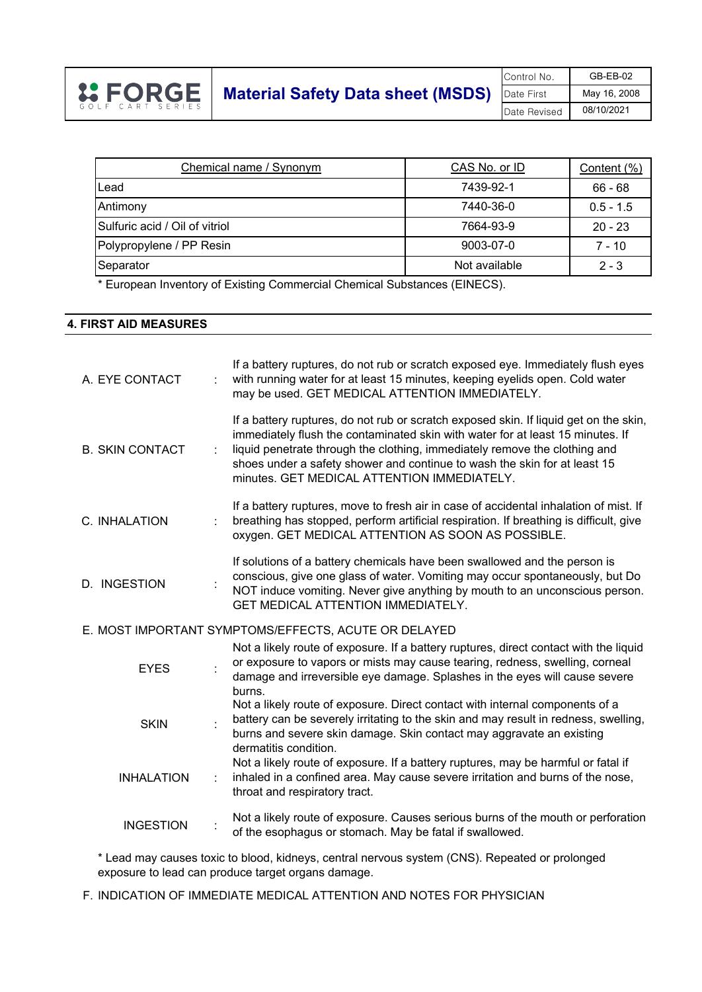

| Chemical name / Synonym        | CAS No. or ID | Content (%) |
|--------------------------------|---------------|-------------|
| Lead                           | 7439-92-1     | $66 - 68$   |
| Antimony                       | 7440-36-0     | $0.5 - 1.5$ |
| Sulfuric acid / Oil of vitriol | 7664-93-9     | $20 - 23$   |
| Polypropylene / PP Resin       | 9003-07-0     | $7 - 10$    |
| Separator                      | Not available | $2 - 3$     |

\* European Inventory of Existing Commercial Chemical Substances (EINECS).

#### **4. FIRST AID MEASURES**

| A. EYE CONTACT         |   | If a battery ruptures, do not rub or scratch exposed eye. Immediately flush eyes<br>with running water for at least 15 minutes, keeping eyelids open. Cold water<br>may be used. GET MEDICAL ATTENTION IMMEDIATELY.                                                                                                                                                               |
|------------------------|---|-----------------------------------------------------------------------------------------------------------------------------------------------------------------------------------------------------------------------------------------------------------------------------------------------------------------------------------------------------------------------------------|
| <b>B. SKIN CONTACT</b> |   | If a battery ruptures, do not rub or scratch exposed skin. If liquid get on the skin,<br>immediately flush the contaminated skin with water for at least 15 minutes. If<br>liquid penetrate through the clothing, immediately remove the clothing and<br>shoes under a safety shower and continue to wash the skin for at least 15<br>minutes. GET MEDICAL ATTENTION IMMEDIATELY. |
| C. INHALATION          |   | If a battery ruptures, move to fresh air in case of accidental inhalation of mist. If<br>breathing has stopped, perform artificial respiration. If breathing is difficult, give<br>oxygen. GET MEDICAL ATTENTION AS SOON AS POSSIBLE.                                                                                                                                             |
| D. INGESTION           |   | If solutions of a battery chemicals have been swallowed and the person is<br>conscious, give one glass of water. Vomiting may occur spontaneously, but Do<br>NOT induce vomiting. Never give anything by mouth to an unconscious person.<br>GET MEDICAL ATTENTION IMMEDIATELY.                                                                                                    |
|                        |   | E. MOST IMPORTANT SYMPTOMS/EFFECTS, ACUTE OR DELAYED                                                                                                                                                                                                                                                                                                                              |
| <b>EYES</b>            |   | Not a likely route of exposure. If a battery ruptures, direct contact with the liquid<br>or exposure to vapors or mists may cause tearing, redness, swelling, corneal<br>damage and irreversible eye damage. Splashes in the eyes will cause severe<br>burns.                                                                                                                     |
| <b>SKIN</b>            |   | Not a likely route of exposure. Direct contact with internal components of a<br>battery can be severely irritating to the skin and may result in redness, swelling,<br>burns and severe skin damage. Skin contact may aggravate an existing<br>dermatitis condition.                                                                                                              |
| <b>INHALATION</b>      | ÷ | Not a likely route of exposure. If a battery ruptures, may be harmful or fatal if<br>inhaled in a confined area. May cause severe irritation and burns of the nose,<br>throat and respiratory tract.                                                                                                                                                                              |
| <b>INGESTION</b>       |   | Not a likely route of exposure. Causes serious burns of the mouth or perforation<br>of the esophagus or stomach. May be fatal if swallowed.                                                                                                                                                                                                                                       |

\* Lead may causes toxic to blood, kidneys, central nervous system (CNS). Repeated or prolonged exposure to lead can produce target organs damage.

F. INDICATION OF IMMEDIATE MEDICAL ATTENTION AND NOTES FOR PHYSICIAN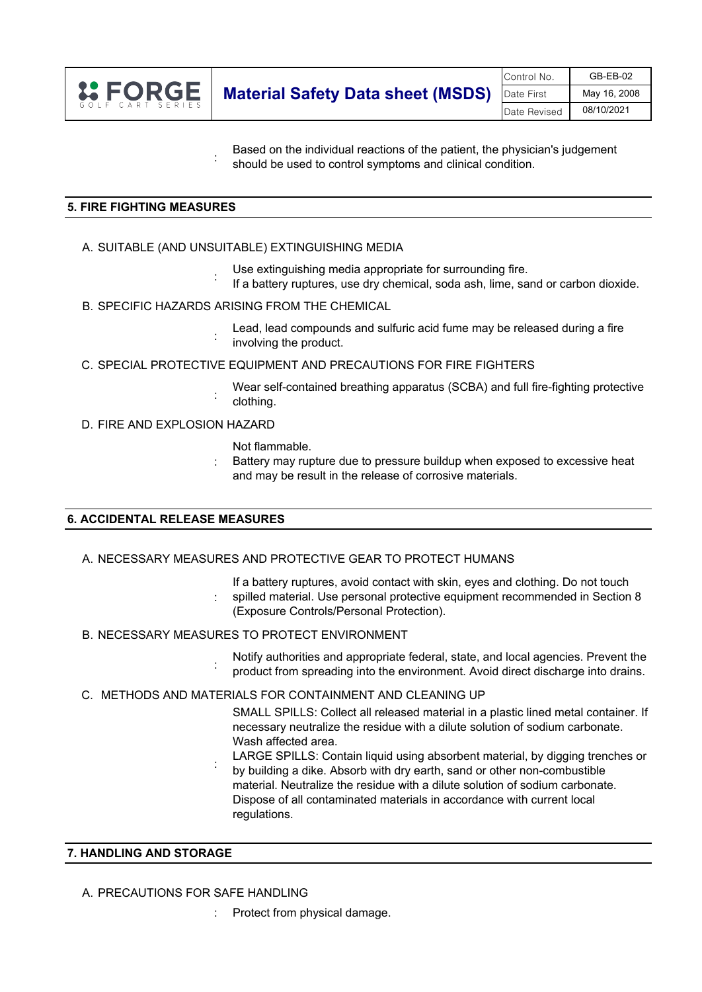

Based on the individual reactions of the patient, the physician's judgement should be used to control symptoms and clinical condition.

### **5. FIRE FIGHTING MEASURES**

A. SUITABLE (AND UNSUITABLE) EXTINGUISHING MEDIA

:

:

:

- Use extinguishing media appropriate for surrounding fire.
- If a battery ruptures, use dry chemical, soda ash, lime, sand or carbon dioxide.
- B. SPECIFIC HAZARDS ARISING FROM THE CHEMICAL
	- : Lead, lead compounds and sulfuric acid fume may be released during a fire involving the product.
- C. SPECIAL PROTECTIVE EQUIPMENT AND PRECAUTIONS FOR FIRE FIGHTERS
	- Wear self-contained breathing apparatus (SCBA) and full fire-fighting protective clothing.
- D. FIRE AND EXPLOSION HAZARD

Not flammable.

: Battery may rupture due to pressure buildup when exposed to excessive heat and may be result in the release of corrosive materials.

#### **6. ACCIDENTAL RELEASE MEASURES**

#### A. NECESSARY MEASURES AND PROTECTIVE GEAR TO PROTECT HUMANS

- If a battery ruptures, avoid contact with skin, eyes and clothing. Do not touch spilled material. Use personal protective equipment recommended in Section 8 (Exposure Controls/Personal Protection).
- B. NECESSARY MEASURES TO PROTECT ENVIRONMENT

:

:

- Notify authorities and appropriate federal, state, and local agencies. Prevent the product from spreading into the environment. Avoid direct discharge into drains.
- C. METHODS AND MATERIALS FOR CONTAINMENT AND CLEANING UP
	- SMALL SPILLS: Collect all released material in a plastic lined metal container. If necessary neutralize the residue with a dilute solution of sodium carbonate. Wash affected area.
	- LARGE SPILLS: Contain liquid using absorbent material, by digging trenches or
	- : by building a dike. Absorb with dry earth, sand or other non-combustible material. Neutralize the residue with a dilute solution of sodium carbonate. Dispose of all contaminated materials in accordance with current local regulations.

#### **7. HANDLING AND STORAGE**

- A. PRECAUTIONS FOR SAFE HANDLING
	- : Protect from physical damage.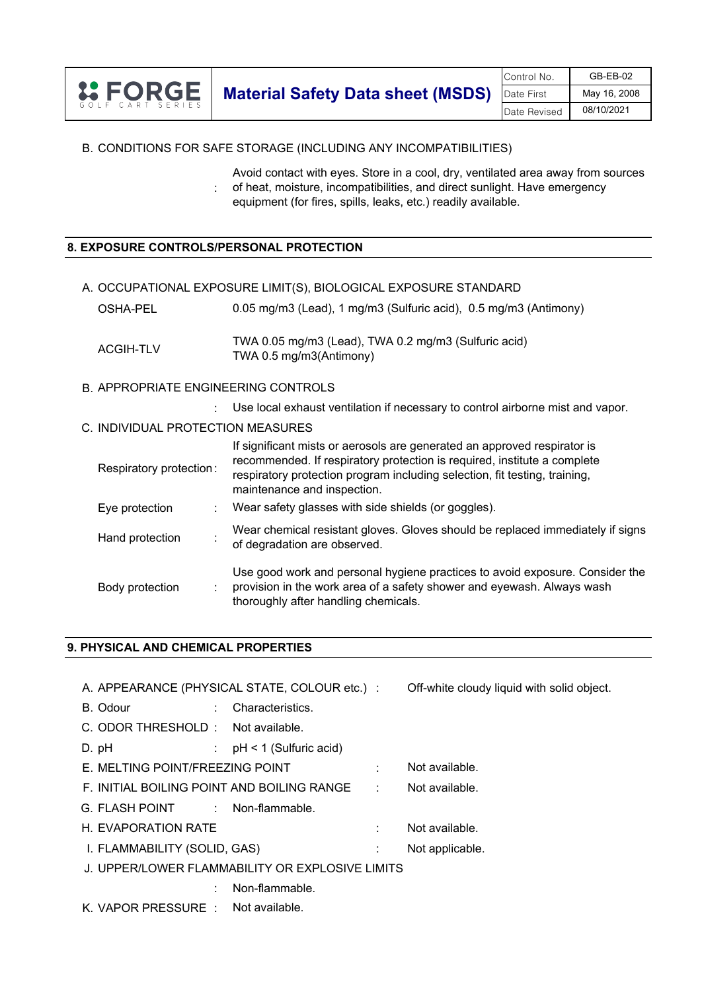|                  | Control No.                              | $GB-EB-02$   |              |
|------------------|------------------------------------------|--------------|--------------|
| <b>L: FORGE</b>  | <b>Material Safety Data sheet (MSDS)</b> | Date First   | May 16, 2008 |
| GOLF CART SERIES |                                          | Date Revised | 08/10/2021   |

# B. CONDITIONS FOR SAFE STORAGE (INCLUDING ANY INCOMPATIBILITIES)

: Avoid contact with eyes. Store in a cool, dry, ventilated area away from sources of heat, moisture, incompatibilities, and direct sunlight. Have emergency equipment (for fires, spills, leaks, etc.) readily available.

#### **8. EXPOSURE CONTROLS/PERSONAL PROTECTION**

- A. OCCUPATIONAL EXPOSURE LIMIT(S), BIOLOGICAL EXPOSURE STANDARD
	- OSHA-PEL ACGIH-TLV TWA 0.05 mg/m3 (Lead), TWA 0.2 mg/m3 (Sulfuric acid) TWA 0.5 mg/m3(Antimony) 0.05 mg/m3 (Lead), 1 mg/m3 (Sulfuric acid), 0.5 mg/m3 (Antimony)
- B. APPROPRIATE ENGINEERING CONTROLS
	- : Use local exhaust ventilation if necessary to control airborne mist and vapor.
- C. INDIVIDUAL PROTECTION MEASURES

| Respiratory protection: | If significant mists or aerosols are generated an approved respirator is<br>recommended. If respiratory protection is required, institute a complete<br>respiratory protection program including selection, fit testing, training,<br>maintenance and inspection. |
|-------------------------|-------------------------------------------------------------------------------------------------------------------------------------------------------------------------------------------------------------------------------------------------------------------|
| Eye protection          | Wear safety glasses with side shields (or goggles).                                                                                                                                                                                                               |
| Hand protection         | Wear chemical resistant gloves. Gloves should be replaced immediately if signs<br>of degradation are observed.                                                                                                                                                    |
| Body protection         | Use good work and personal hygiene practices to avoid exposure. Consider the<br>provision in the work area of a safety shower and eyewash. Always wash<br>thoroughly after handling chemicals.                                                                    |

## **9. PHYSICAL AND CHEMICAL PROPERTIES**

| A. APPEARANCE (PHYSICAL STATE, COLOUR etc.) :   |                            |                            | Off-white cloudy liquid with solid object. |
|-------------------------------------------------|----------------------------|----------------------------|--------------------------------------------|
| B. Odour<br>÷.                                  | Characteristics.           |                            |                                            |
| C. ODOR THRESHOLD: Not available.               |                            |                            |                                            |
| D. pH                                           | : $pH < 1$ (Sulfuric acid) |                            |                                            |
| E. MELTING POINT/FREEZING POINT                 |                            | t.                         | Not available.                             |
| F. INITIAL BOILING POINT AND BOILING RANGE      |                            | $\mathcal{L}^{\text{max}}$ | Not available.                             |
| G. FLASH POINT : Non-flammable.                 |                            |                            |                                            |
| <b>H. EVAPORATION RATE</b>                      |                            | t.                         | Not available.                             |
| I. FLAMMABILITY (SOLID, GAS)                    |                            |                            | Not applicable.                            |
| J. UPPER/LOWER FLAMMABILITY OR EXPLOSIVE LIMITS |                            |                            |                                            |
|                                                 | Non-flammable.             |                            |                                            |
| K. VAPOR PRESSURE : Not available.              |                            |                            |                                            |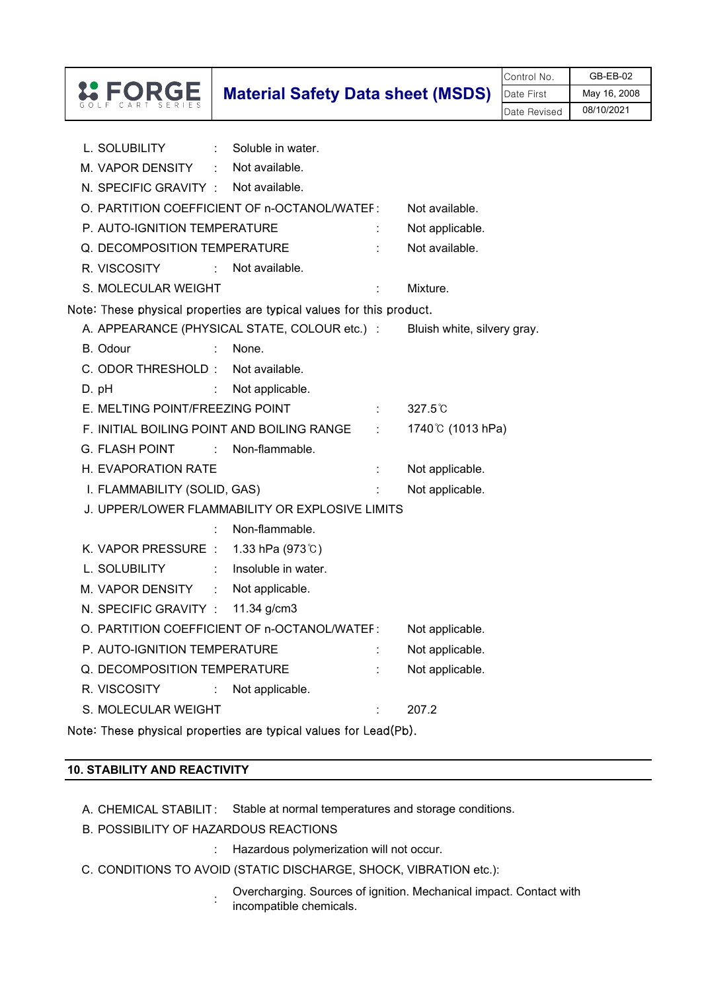|                                                                                                                                |                                          |                  | Control No.  | GB-EB-02     |
|--------------------------------------------------------------------------------------------------------------------------------|------------------------------------------|------------------|--------------|--------------|
|                                                                                                                                | <b>Material Safety Data sheet (MSDS)</b> |                  | Date First   | May 16, 2008 |
|                                                                                                                                |                                          |                  | Date Revised | 08/10/2021   |
|                                                                                                                                |                                          |                  |              |              |
| L. SOLUBILITY<br>Soluble in water.<br>$\mathcal{L}^{\mathcal{L}}$ .                                                            |                                          |                  |              |              |
| Not available.<br>M. VAPOR DENSITY<br>$\mathcal{L}^{\mathcal{L}}$ .                                                            |                                          |                  |              |              |
| N. SPECIFIC GRAVITY : Not available.                                                                                           |                                          |                  |              |              |
| O. PARTITION COEFFICIENT OF n-OCTANOL/WATEF:                                                                                   |                                          | Not available.   |              |              |
| P. AUTO-IGNITION TEMPERATURE                                                                                                   |                                          | Not applicable.  |              |              |
| Q. DECOMPOSITION TEMPERATURE                                                                                                   |                                          | Not available.   |              |              |
| Not available.<br>R. VISCOSITY :                                                                                               |                                          |                  |              |              |
| S. MOLECULAR WEIGHT                                                                                                            | ÷                                        | Mixture.         |              |              |
| Note: These physical properties are typical values for this product.                                                           |                                          |                  |              |              |
| A. APPEARANCE (PHYSICAL STATE, COLOUR etc.) : Bluish white, silvery gray.                                                      |                                          |                  |              |              |
| B. Odour<br>÷<br>None.                                                                                                         |                                          |                  |              |              |
| C. ODOR THRESHOLD:<br>Not available.                                                                                           |                                          |                  |              |              |
| D. pH<br>Not applicable.<br>$\mathcal{L}_{\rm{max}}$                                                                           |                                          |                  |              |              |
| E. MELTING POINT/FREEZING POINT                                                                                                |                                          | $327.5^{\circ}$  |              |              |
| F. INITIAL BOILING POINT AND BOILING RANGE                                                                                     |                                          | 1740℃ (1013 hPa) |              |              |
| <b>G. FLASH POINT</b><br>$\mathcal{L}^{\text{max}}_{\text{max}}$ and $\mathcal{L}^{\text{max}}_{\text{max}}$<br>Non-flammable. |                                          |                  |              |              |
| H. EVAPORATION RATE                                                                                                            |                                          | Not applicable.  |              |              |
| I. FLAMMABILITY (SOLID, GAS)                                                                                                   |                                          | Not applicable.  |              |              |
| J. UPPER/LOWER FLAMMABILITY OR EXPLOSIVE LIMITS                                                                                |                                          |                  |              |              |
| Non-flammable.                                                                                                                 |                                          |                  |              |              |
| 1.33 hPa $(973^{\circ}$ C)<br>K. VAPOR PRESSURE :                                                                              |                                          |                  |              |              |
| L. SOLUBILITY<br>Insoluble in water.                                                                                           |                                          |                  |              |              |
| Not applicable.<br>M. VAPOR DENSITY                                                                                            |                                          |                  |              |              |
| N. SPECIFIC GRAVITY :<br>11.34 g/cm3                                                                                           |                                          |                  |              |              |
| O. PARTITION COEFFICIENT OF n-OCTANOL/WATEF:                                                                                   |                                          | Not applicable.  |              |              |
| P. AUTO-IGNITION TEMPERATURE                                                                                                   |                                          | Not applicable.  |              |              |
| Q. DECOMPOSITION TEMPERATURE                                                                                                   |                                          | Not applicable.  |              |              |
| Not applicable.<br>R. VISCOSITY<br>÷                                                                                           |                                          |                  |              |              |
| S. MOLECULAR WEIGHT                                                                                                            |                                          | 207.2            |              |              |

Note: These physical properties are typical values for Lead(Pb).

## **10. STABILITY AND REACTIVITY**

- A. CHEMICAL STABILIT: Stable at normal temperatures and storage conditions.
- B. POSSIBILITY OF HAZARDOUS REACTIONS
	- : Hazardous polymerization will not occur.
- C. CONDITIONS TO AVOID (STATIC DISCHARGE, SHOCK, VIBRATION etc.):
	- : Overcharging. Sources of ignition. Mechanical impact. Contact with incompatible chemicals.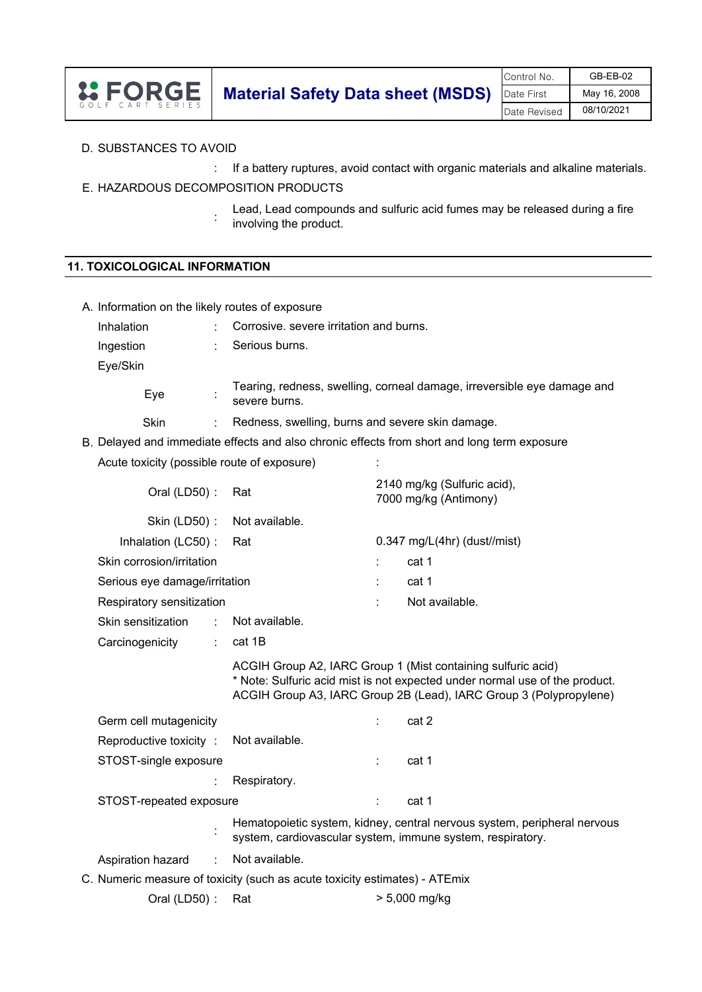|                |                                                     | Control No.  | $GB-EB-02$   |
|----------------|-----------------------------------------------------|--------------|--------------|
| <b>L'EORGE</b> | <b>Material Safety Data sheet (MSDS)</b> Date First |              | May 16, 2008 |
| CART SERIES    |                                                     | Date Revised | 08/10/2021   |

# D. SUBSTANCES TO AVOID

: If a battery ruptures, avoid contact with organic materials and alkaline materials.

# E. HAZARDOUS DECOMPOSITION PRODUCTS

: Lead, Lead compounds and sulfuric acid fumes may be released during a fire involving the product.

# **11. TOXICOLOGICAL INFORMATION**

| A. Information on the likely routes of exposure                                             |    |                                                                            |   |                                                                                                                                                                                                                   |  |
|---------------------------------------------------------------------------------------------|----|----------------------------------------------------------------------------|---|-------------------------------------------------------------------------------------------------------------------------------------------------------------------------------------------------------------------|--|
| Inhalation                                                                                  |    | Corrosive. severe irritation and burns.                                    |   |                                                                                                                                                                                                                   |  |
| Ingestion                                                                                   |    | Serious burns.                                                             |   |                                                                                                                                                                                                                   |  |
| Eye/Skin                                                                                    |    |                                                                            |   |                                                                                                                                                                                                                   |  |
| Eye                                                                                         |    | severe burns.                                                              |   | Tearing, redness, swelling, corneal damage, irreversible eye damage and                                                                                                                                           |  |
| Skin                                                                                        | ÷  | Redness, swelling, burns and severe skin damage.                           |   |                                                                                                                                                                                                                   |  |
| B. Delayed and immediate effects and also chronic effects from short and long term exposure |    |                                                                            |   |                                                                                                                                                                                                                   |  |
| Acute toxicity (possible route of exposure)                                                 |    |                                                                            |   |                                                                                                                                                                                                                   |  |
| Oral (LD50) :                                                                               |    | Rat                                                                        |   | 2140 mg/kg (Sulfuric acid),<br>7000 mg/kg (Antimony)                                                                                                                                                              |  |
| Skin (LD50):                                                                                |    | Not available.                                                             |   |                                                                                                                                                                                                                   |  |
| Inhalation (LC50):                                                                          |    | Rat                                                                        |   | $0.347$ mg/L(4hr) (dust//mist)                                                                                                                                                                                    |  |
| Skin corrosion/irritation                                                                   |    |                                                                            | ÷ | cat 1                                                                                                                                                                                                             |  |
| Serious eye damage/irritation                                                               |    |                                                                            | t | cat 1                                                                                                                                                                                                             |  |
| Respiratory sensitization                                                                   |    |                                                                            |   | Not available.                                                                                                                                                                                                    |  |
| Skin sensitization                                                                          | ÷  | Not available.                                                             |   |                                                                                                                                                                                                                   |  |
| Carcinogenicity                                                                             | ÷. | cat 1B                                                                     |   |                                                                                                                                                                                                                   |  |
|                                                                                             |    |                                                                            |   | ACGIH Group A2, IARC Group 1 (Mist containing sulfuric acid)<br>* Note: Sulfuric acid mist is not expected under normal use of the product.<br>ACGIH Group A3, IARC Group 2B (Lead), IARC Group 3 (Polypropylene) |  |
| Germ cell mutagenicity                                                                      |    |                                                                            |   | cat 2                                                                                                                                                                                                             |  |
| Reproductive toxicity:                                                                      |    | Not available.                                                             |   |                                                                                                                                                                                                                   |  |
| STOST-single exposure                                                                       |    |                                                                            | ÷ | cat 1                                                                                                                                                                                                             |  |
|                                                                                             |    | Respiratory.                                                               |   |                                                                                                                                                                                                                   |  |
| STOST-repeated exposure                                                                     |    |                                                                            |   | cat 1                                                                                                                                                                                                             |  |
|                                                                                             |    |                                                                            |   | Hematopoietic system, kidney, central nervous system, peripheral nervous<br>system, cardiovascular system, immune system, respiratory.                                                                            |  |
| Aspiration hazard                                                                           | t  | Not available.                                                             |   |                                                                                                                                                                                                                   |  |
|                                                                                             |    | C. Numeric measure of toxicity (such as acute toxicity estimates) - ATEmix |   |                                                                                                                                                                                                                   |  |
| Oral (LD50):                                                                                |    | Rat                                                                        |   | $> 5,000$ mg/kg                                                                                                                                                                                                   |  |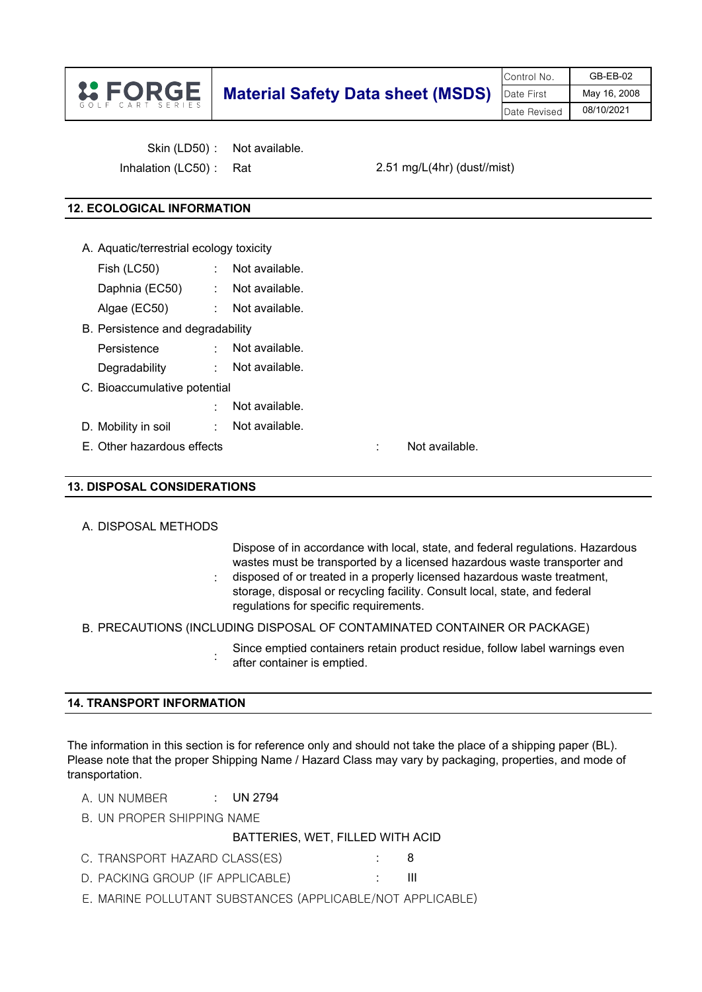|                  |                                          | Control No.  | $GB-EB-02$   |
|------------------|------------------------------------------|--------------|--------------|
| <b>L'EORGE</b>   | <b>Material Safety Data sheet (MSDS)</b> | Date First   | May 16, 2008 |
| GOIF CART SERIES |                                          | Date Revised | 08/10/2021   |

Skin (LD50) : Not available.

Inhalation (LC50) : Rat

2.51 mg/L(4hr) (dust//mist)

# **12. ECOLOGICAL INFORMATION**

- A. Aquatic/terrestrial ecology toxicity Fish (LC50) : Not available.
	- Daphnia (EC50) : Not available.
	- Algae (EC50) : Not available.
- B. Persistence and degradability
	- Persistence : Not available.
	- Degradability : Not available.
- C. Bioaccumulative potential
- : D. Mobility in soil : Not available. Not available.

:

:

E. Other hazardous effects : Not available.

# **13. DISPOSAL CONSIDERATIONS**

# A. DISPOSAL METHODS

Dispose of in accordance with local, state, and federal regulations. Hazardous wastes must be transported by a licensed hazardous waste transporter and disposed of or treated in a properly licensed hazardous waste treatment, storage, disposal or recycling facility. Consult local, state, and federal

regulations for specific requirements.

# B. PRECAUTIONS (INCLUDING DISPOSAL OF CONTAMINATED CONTAINER OR PACKAGE)

Since emptied containers retain product residue, follow label warnings even after container is emptied.

# **14. TRANSPORT INFORMATION**

The information in this section is for reference only and should not take the place of a shipping paper (BL). Please note that the proper Shipping Name / Hazard Class may vary by packaging, properties, and mode of transportation.

A. UN NUMBER : UN 2794

B. UN PROPER SHIPPING NAME

#### BATTERIES, WET, FILLED WITH ACID

- C. TRANSPORT HAZARD CLASS(ES)  $\qquad \qquad : \qquad 8$
- D. PACKING GROUP (IF APPLICABLE) : III
- E. MARINE POLLUTANT SUBSTANCES (APPLICABLE/NOT APPLICABLE)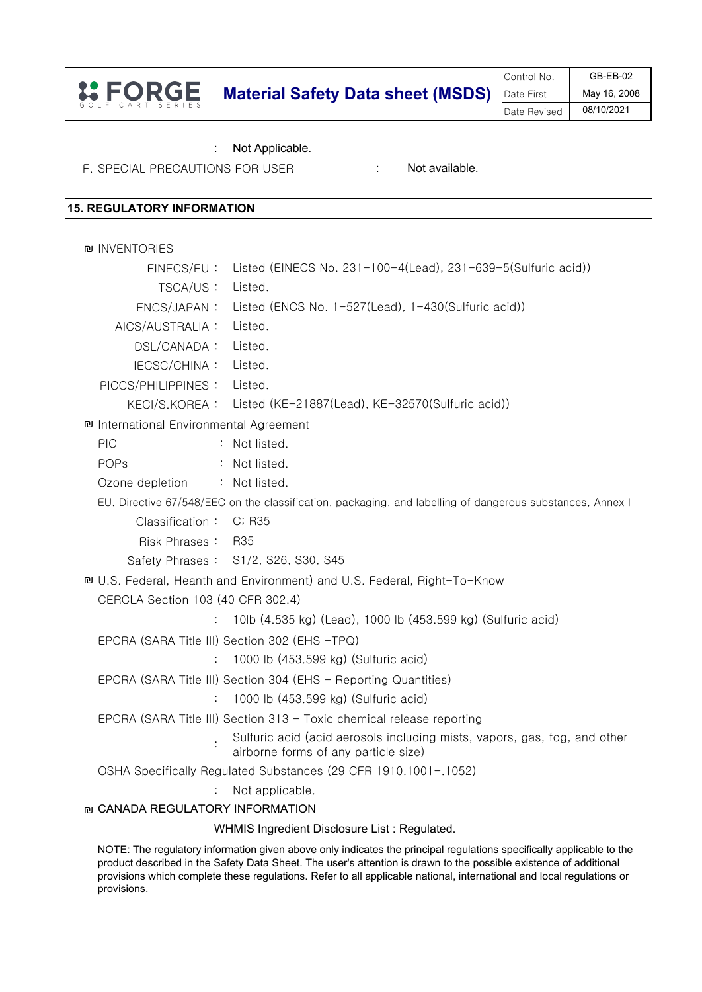|                  |                                          | Control No.  | $GB-EB-02$   |
|------------------|------------------------------------------|--------------|--------------|
| <b>IS FORGE</b>  | <b>Material Safety Data sheet (MSDS)</b> | Date First   | May 16, 2008 |
| GOIF CART SERIES |                                          | Date Revised | 08/10/2021   |

: Not Applicable.

F. SPECIAL PRECAUTIONS FOR USER : Not available.

# **15. REGULATORY INFORMATION**

| <b>DU INVENTORIES</b>                                                                                                                                                                                                                                                                                                                                                             |                                                                                                                   |
|-----------------------------------------------------------------------------------------------------------------------------------------------------------------------------------------------------------------------------------------------------------------------------------------------------------------------------------------------------------------------------------|-------------------------------------------------------------------------------------------------------------------|
| EINECS/EU:                                                                                                                                                                                                                                                                                                                                                                        | Listed (EINECS No. 231-100-4(Lead), 231-639-5(Sulfuric acid))                                                     |
| TSCA/US:                                                                                                                                                                                                                                                                                                                                                                          | Listed.                                                                                                           |
| ENCS/JAPAN:                                                                                                                                                                                                                                                                                                                                                                       | Listed (ENCS No. 1-527(Lead), 1-430(Sulfuric acid))                                                               |
| AICS/AUSTRALIA :                                                                                                                                                                                                                                                                                                                                                                  | Listed.                                                                                                           |
| DSL/CANADA:                                                                                                                                                                                                                                                                                                                                                                       | Listed.                                                                                                           |
| IECSC/CHINA:                                                                                                                                                                                                                                                                                                                                                                      | Listed.                                                                                                           |
| PICCS/PHILIPPINES:                                                                                                                                                                                                                                                                                                                                                                | Listed.                                                                                                           |
|                                                                                                                                                                                                                                                                                                                                                                                   | KECI/S.KOREA: Listed (KE-21887(Lead), KE-32570(Sulfuric acid))                                                    |
| nd International Environmental Agreement                                                                                                                                                                                                                                                                                                                                          |                                                                                                                   |
| <b>PIC</b>                                                                                                                                                                                                                                                                                                                                                                        | : Not listed.                                                                                                     |
| POPs                                                                                                                                                                                                                                                                                                                                                                              | : Not listed.                                                                                                     |
| Ozone depletion                                                                                                                                                                                                                                                                                                                                                                   | : Not listed.                                                                                                     |
| EU. Directive 67/548/EEC on the classification, packaging, and labelling of dangerous substances, Annex I                                                                                                                                                                                                                                                                         |                                                                                                                   |
| Classification: C; R35                                                                                                                                                                                                                                                                                                                                                            |                                                                                                                   |
| Risk Phrases: R35                                                                                                                                                                                                                                                                                                                                                                 |                                                                                                                   |
|                                                                                                                                                                                                                                                                                                                                                                                   | Safety Phrases: S1/2, S26, S30, S45                                                                               |
| n U.S. Federal, Heanth and Environment) and U.S. Federal, Right-To-Know                                                                                                                                                                                                                                                                                                           |                                                                                                                   |
| CERCLA Section 103 (40 CFR 302.4)                                                                                                                                                                                                                                                                                                                                                 |                                                                                                                   |
|                                                                                                                                                                                                                                                                                                                                                                                   | 10lb (4.535 kg) (Lead), 1000 lb (453.599 kg) (Sulfuric acid)                                                      |
| EPCRA (SARA Title III) Section 302 (EHS -TPQ)                                                                                                                                                                                                                                                                                                                                     |                                                                                                                   |
| ÷                                                                                                                                                                                                                                                                                                                                                                                 | 1000 lb (453.599 kg) (Sulfuric acid)                                                                              |
|                                                                                                                                                                                                                                                                                                                                                                                   | EPCRA (SARA Title III) Section 304 (EHS - Reporting Quantities)                                                   |
| ÷                                                                                                                                                                                                                                                                                                                                                                                 | 1000 lb (453.599 kg) (Sulfuric acid)                                                                              |
|                                                                                                                                                                                                                                                                                                                                                                                   | EPCRA (SARA Title III) Section 313 - Toxic chemical release reporting                                             |
|                                                                                                                                                                                                                                                                                                                                                                                   | Sulfuric acid (acid aerosols including mists, vapors, gas, fog, and other<br>airborne forms of any particle size) |
|                                                                                                                                                                                                                                                                                                                                                                                   | OSHA Specifically Regulated Substances (29 CFR 1910.1001-.1052)                                                   |
|                                                                                                                                                                                                                                                                                                                                                                                   | Not applicable.                                                                                                   |
| <b>ID CANADA REGULATORY INFORMATION</b>                                                                                                                                                                                                                                                                                                                                           |                                                                                                                   |
|                                                                                                                                                                                                                                                                                                                                                                                   | WHMIS Ingredient Disclosure List: Regulated.                                                                      |
| NOTE: The regulatory information given above only indicates the principal regulations specifically applicable to the<br>product described in the Safety Data Sheet. The user's attention is drawn to the possible existence of additional<br>provisions which complete these regulations. Refer to all applicable national, international and local regulations or<br>provisions. |                                                                                                                   |